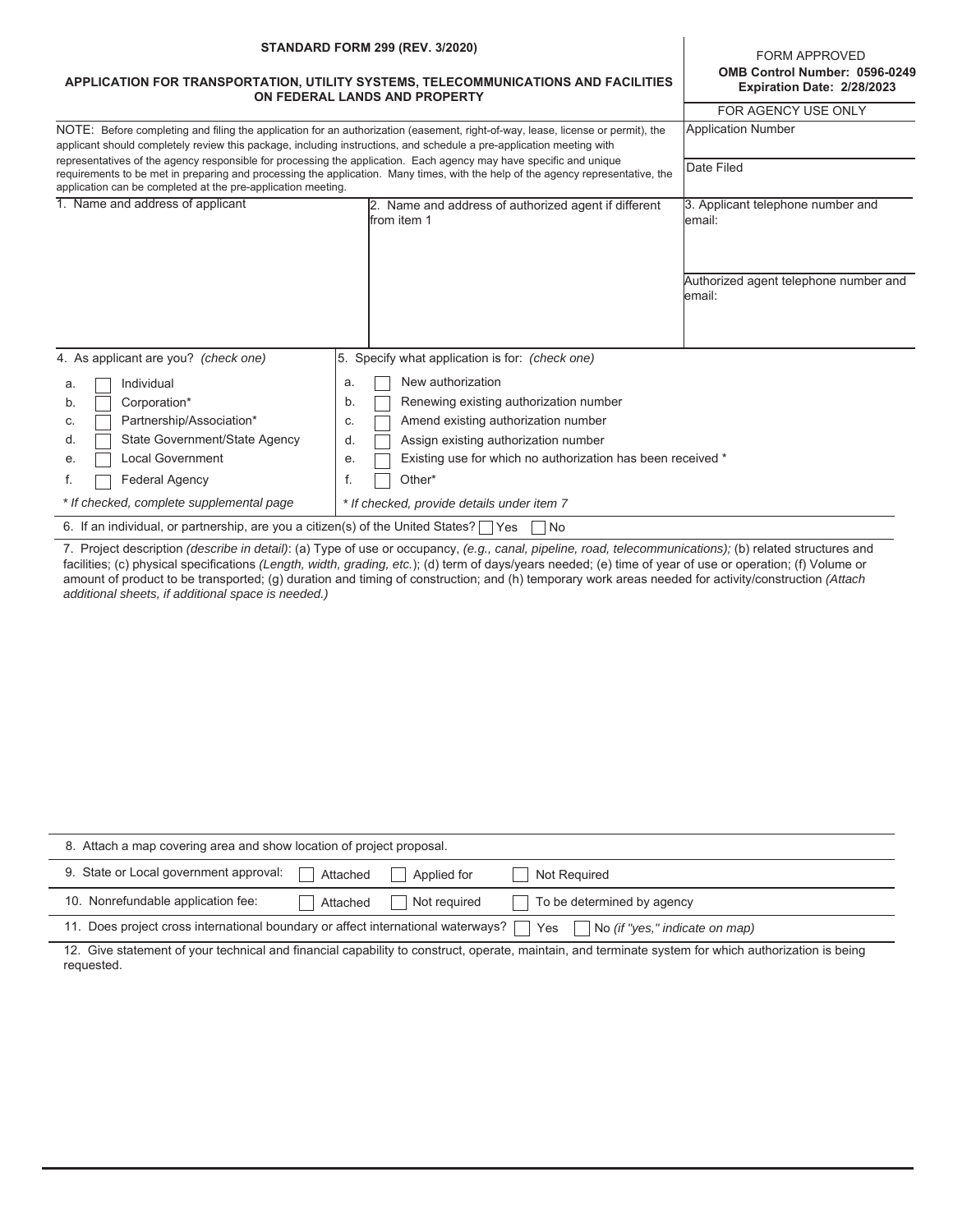| <b>STANDARD FORM 299 (REV. 3/2020)</b><br>APPLICATION FOR TRANSPORTATION, UTILITY SYSTEMS, TELECOMMUNICATIONS AND FACILITIES<br>ON FEDERAL LANDS AND PROPERTY<br>NOTE: Before completing and filing the application for an authorization (easement, right-of-way, lease, license or permit), the<br>applicant should completely review this package, including instructions, and schedule a pre-application meeting with<br>representatives of the agency responsible for processing the application. Each agency may have specific and unique<br>requirements to be met in preparing and processing the application. Many times, with the help of the agency representative, the<br>application can be completed at the pre-application meeting. |                                                                     | FORM APPROVED<br>OMB Control Number: 0596-0249<br>Expiration Date: 2/28/2023 |  |  |  |
|---------------------------------------------------------------------------------------------------------------------------------------------------------------------------------------------------------------------------------------------------------------------------------------------------------------------------------------------------------------------------------------------------------------------------------------------------------------------------------------------------------------------------------------------------------------------------------------------------------------------------------------------------------------------------------------------------------------------------------------------------|---------------------------------------------------------------------|------------------------------------------------------------------------------|--|--|--|
|                                                                                                                                                                                                                                                                                                                                                                                                                                                                                                                                                                                                                                                                                                                                                   |                                                                     | FOR AGENCY USE ONLY                                                          |  |  |  |
|                                                                                                                                                                                                                                                                                                                                                                                                                                                                                                                                                                                                                                                                                                                                                   |                                                                     | <b>Application Number</b>                                                    |  |  |  |
|                                                                                                                                                                                                                                                                                                                                                                                                                                                                                                                                                                                                                                                                                                                                                   |                                                                     | Date Filed                                                                   |  |  |  |
| 1. Name and address of applicant                                                                                                                                                                                                                                                                                                                                                                                                                                                                                                                                                                                                                                                                                                                  | 2. Name and address of authorized agent if different<br>from item 1 | 3. Applicant telephone number and<br>email:                                  |  |  |  |
|                                                                                                                                                                                                                                                                                                                                                                                                                                                                                                                                                                                                                                                                                                                                                   |                                                                     | Authorized agent telephone number and<br>lemail:                             |  |  |  |
| 4. As applicant are you? (check one)                                                                                                                                                                                                                                                                                                                                                                                                                                                                                                                                                                                                                                                                                                              | 5. Specify what application is for: (check one)                     |                                                                              |  |  |  |
| Individual<br>a.                                                                                                                                                                                                                                                                                                                                                                                                                                                                                                                                                                                                                                                                                                                                  | New authorization<br>a.                                             |                                                                              |  |  |  |
| Corporation*<br>b.                                                                                                                                                                                                                                                                                                                                                                                                                                                                                                                                                                                                                                                                                                                                | Renewing existing authorization number<br>b.                        |                                                                              |  |  |  |
| Partnership/Association*<br>C.                                                                                                                                                                                                                                                                                                                                                                                                                                                                                                                                                                                                                                                                                                                    | Amend existing authorization number<br>C.                           |                                                                              |  |  |  |
| <b>State Government/State Agency</b><br>d.                                                                                                                                                                                                                                                                                                                                                                                                                                                                                                                                                                                                                                                                                                        | Assign existing authorization number<br>d.                          |                                                                              |  |  |  |
| <b>Local Government</b><br>е.                                                                                                                                                                                                                                                                                                                                                                                                                                                                                                                                                                                                                                                                                                                     | Existing use for which no authorization has been received *<br>е.   |                                                                              |  |  |  |
| <b>Federal Agency</b><br>f.                                                                                                                                                                                                                                                                                                                                                                                                                                                                                                                                                                                                                                                                                                                       | f.<br>Other*                                                        |                                                                              |  |  |  |
| * If checked, complete supplemental page                                                                                                                                                                                                                                                                                                                                                                                                                                                                                                                                                                                                                                                                                                          | * If checked, provide details under item 7                          |                                                                              |  |  |  |
| 6. If an individual, or partnership, are you a citizen(s) of the United States? $\Box$ Yes                                                                                                                                                                                                                                                                                                                                                                                                                                                                                                                                                                                                                                                        | No                                                                  |                                                                              |  |  |  |

7. Project description *(describe in detail)*: (a) Type of use or occupancy, *(e.g., canal, pipeline, road, telecommunications);* (b) related structures and facilities; (c) physical specifications *(Length, width, grading, etc.*); (d) term of days/years needed; (e) time of year of use or operation; (f) Volume or amount of product to be transported; (g) duration and timing of construction; and (h) temporary work areas needed for activity/construction *(Attach additional sheets, if additional space is needed.)*

| 8. Attach a map covering area and show location of project proposal.                                                      |          |              |                            |  |  |
|---------------------------------------------------------------------------------------------------------------------------|----------|--------------|----------------------------|--|--|
| 9. State or Local government approval:                                                                                    | Attached | Applied for  | Not Required               |  |  |
| 10. Nonrefundable application fee:                                                                                        | Attached | Not required | To be determined by agency |  |  |
| 11. Does project cross international boundary or affect international waterways?<br>No (if "yes," indicate on map)<br>Yes |          |              |                            |  |  |

12. Give statement of your technical and financial capability to construct, operate, maintain, and terminate system for which authorization is being requested.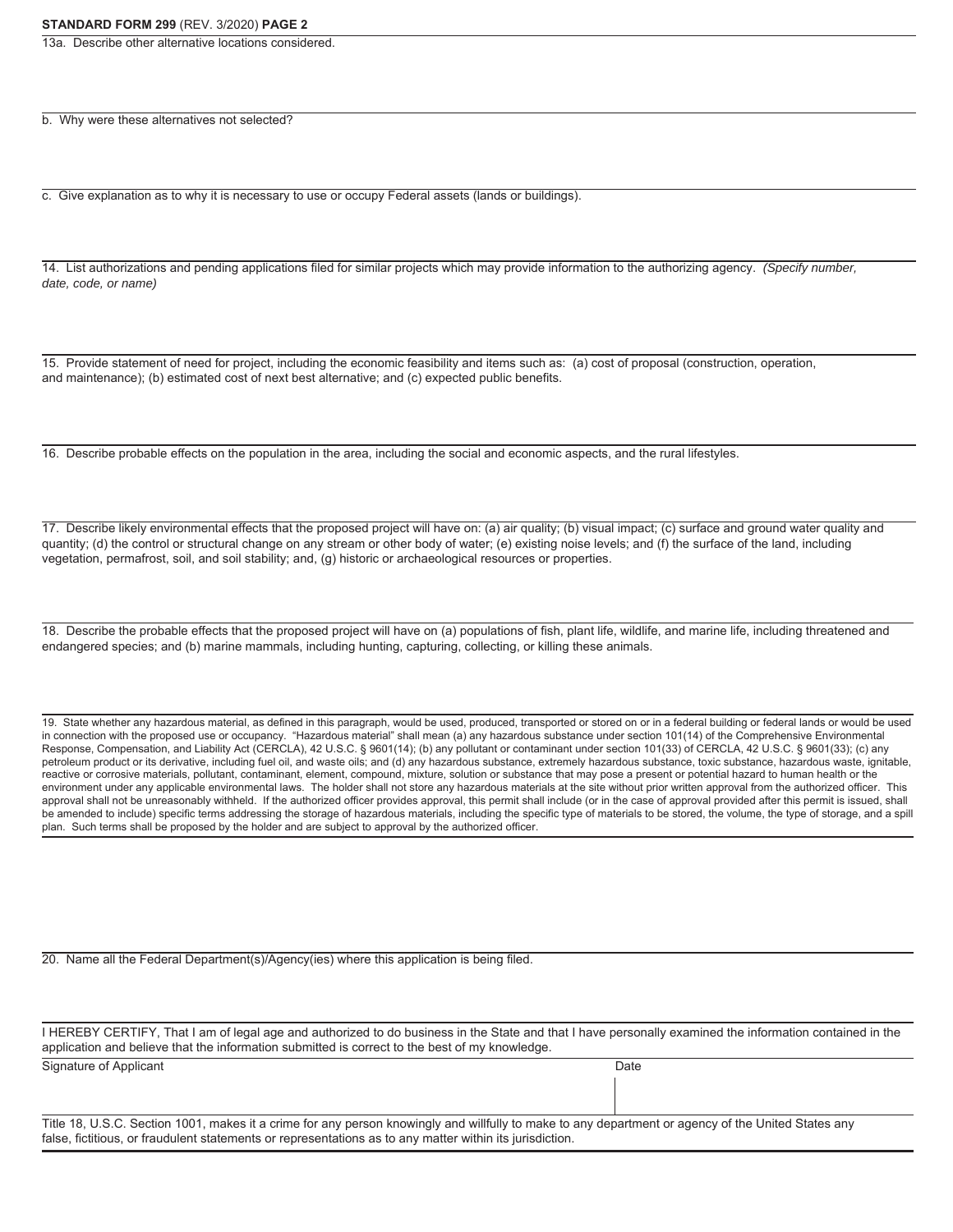13a. Describe other alternative locations considered.

b. Why were these alternatives not selected?

c. Give explanation as to why it is necessary to use or occupy Federal assets (lands or buildings).

14. List authorizations and pending applications filed for similar projects which may provide information to the authorizing agency. *(Specify number, date, code, or name)*

15. Provide statement of need for project, including the economic feasibility and items such as: (a) cost of proposal (construction, operation, and maintenance); (b) estimated cost of next best alternative; and (c) expected public benefits.

16. Describe probable effects on the population in the area, including the social and economic aspects, and the rural lifestyles.

17. Describe likely environmental effects that the proposed project will have on: (a) air quality; (b) visual impact; (c) surface and ground water quality and quantity; (d) the control or structural change on any stream or other body of water; (e) existing noise levels; and (f) the surface of the land, including vegetation, permafrost, soil, and soil stability; and, (g) historic or archaeological resources or properties.

18. Describe the probable effects that the proposed project will have on (a) populations of fish, plant life, wildlife, and marine life, including threatened and endangered species; and (b) marine mammals, including hunting, capturing, collecting, or killing these animals.

19. State whether any hazardous material, as defined in this paragraph, would be used, produced, transported or stored on or in a federal building or federal lands or would be used in connection with the proposed use or occupancy. "Hazardous material" shall mean (a) any hazardous substance under section 101(14) of the Comprehensive Environmental Response, Compensation, and Liability Act (CERCLA), 42 U.S.C. § 9601(14); (b) any pollutant or contaminant under section 101(33) of CERCLA, 42 U.S.C. § 9601(33); (c) any petroleum product or its derivative, including fuel oil, and waste oils; and (d) any hazardous substance, extremely hazardous substance, toxic substance, hazardous waste, ignitable, reactive or corrosive materials, pollutant, contaminant, element, compound, mixture, solution or substance that may pose a present or potential hazard to human health or the environment under any applicable environmental laws. The holder shall not store any hazardous materials at the site without prior written approval from the authorized officer. This approval shall not be unreasonably withheld. If the authorized officer provides approval, this permit shall include (or in the case of approval provided after this permit is issued, shall be amended to include) specific terms addressing the storage of hazardous materials, including the specific type of materials to be stored, the volume, the type of storage, and a spill plan. Such terms shall be proposed by the holder and are subject to approval by the authorized officer.

20. Name all the Federal Department(s)/Agency(ies) where this application is being filed.

| I HEREBY CERTIFY, That I am of legal age and authorized to do business in the State and that I have personally examined the information contained in the |      |  |  |  |
|----------------------------------------------------------------------------------------------------------------------------------------------------------|------|--|--|--|
| application and believe that the information submitted is correct to the best of my knowledge.                                                           |      |  |  |  |
| Signature of Applicant                                                                                                                                   | Date |  |  |  |

Title 18, U.S.C. Section 1001, makes it a crime for any person knowingly and willfully to make to any department or agency of the United States any false, fictitious, or fraudulent statements or representations as to any matter within its jurisdiction.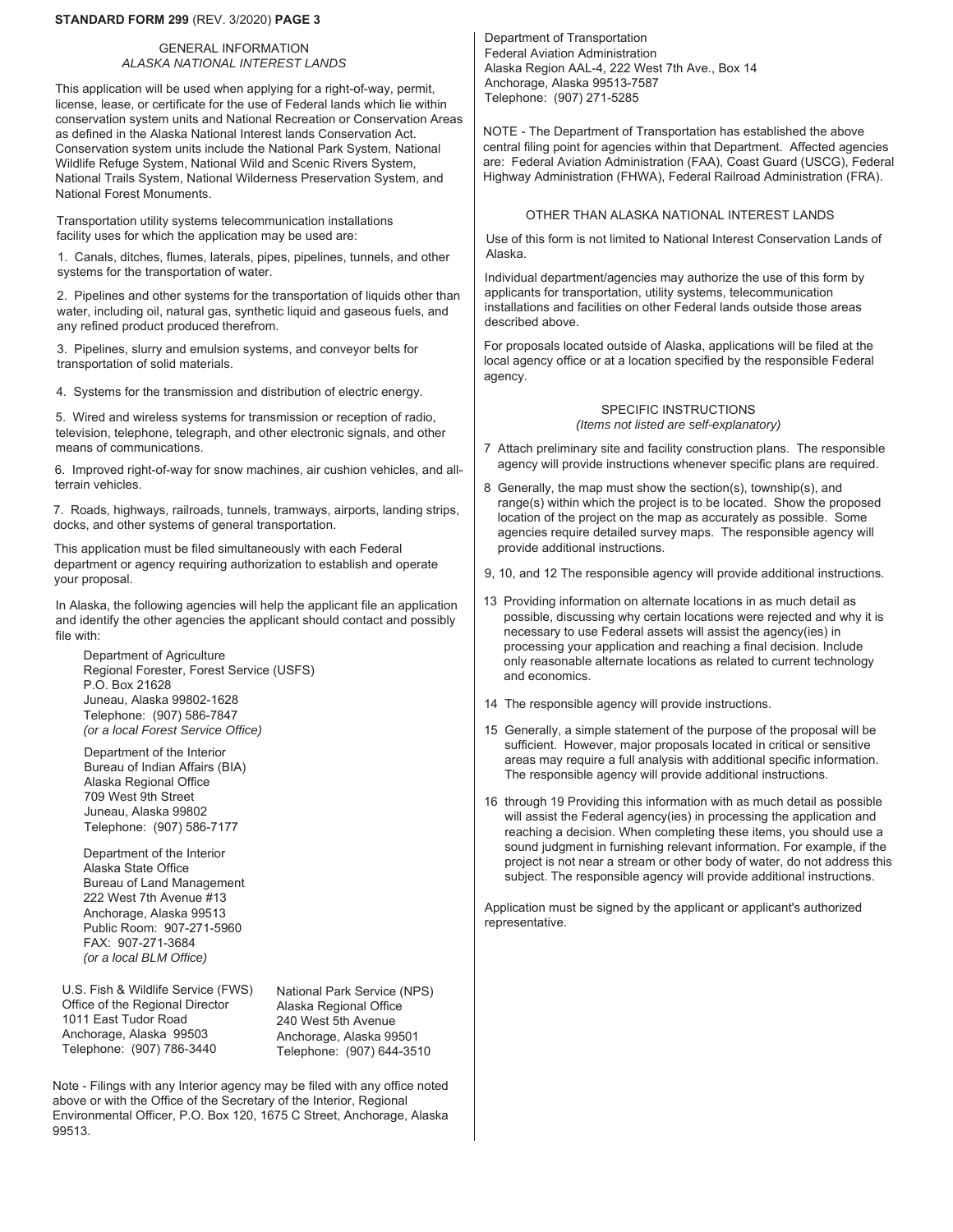## **STANDARD FORM 299** (REV. 3/2020) **PAGE 3**

### GENERAL INFORMATION *ALASKA NATIONAL INTEREST LANDS*

This application will be used when applying for a right-of-way, permit, license, lease, or certificate for the use of Federal lands which lie within conservation system units and National Recreation or Conservation Areas as defined in the Alaska National Interest lands Conservation Act. Conservation system units include the National Park System, National Wildlife Refuge System, National Wild and Scenic Rivers System, National Trails System, National Wilderness Preservation System, and National Forest Monuments.

Transportation utility systems telecommunication installations facility uses for which the application may be used are:

1. Canals, ditches, flumes, laterals, pipes, pipelines, tunnels, and other systems for the transportation of water.

2. Pipelines and other systems for the transportation of liquids other than water, including oil, natural gas, synthetic liquid and gaseous fuels, and any refined product produced therefrom.

3. Pipelines, slurry and emulsion systems, and conveyor belts for transportation of solid materials.

4. Systems for the transmission and distribution of electric energy.

5. Wired and wireless systems for transmission or reception of radio, television, telephone, telegraph, and other electronic signals, and other means of communications.

6. Improved right-of-way for snow machines, air cushion vehicles, and allterrain vehicles.

7. Roads, highways, railroads, tunnels, tramways, airports, landing strips, docks, and other systems of general transportation.

This application must be filed simultaneously with each Federal department or agency requiring authorization to establish and operate your proposal.

In Alaska, the following agencies will help the applicant file an application and identify the other agencies the applicant should contact and possibly file with:

Department of Agriculture Regional Forester, Forest Service (USFS) P.O. Box 21628 Juneau, Alaska 99802-1628 Telephone: (907) 586-7847 *(or a local Forest Service Office)* 

Department of the Interior Bureau of Indian Affairs (BIA) Alaska Regional Office 709 West 9th Street Juneau, Alaska 99802 Telephone: (907) 586-7177

Department of the Interior Alaska State Office Bureau of Land Management 222 West 7th Avenue #13 Anchorage, Alaska 99513 Public Room: 907-271-5960 FAX: 907-271-3684 *(or a local BLM Office)* 

U.S. Fish & Wildlife Service (FWS) Office of the Regional Director 1011 East Tudor Road Anchorage, Alaska 99503 Telephone: (907) 786-3440

National Park Service (NPS) Alaska Regional Office 240 West 5th Avenue Anchorage, Alaska 99501 Telephone: (907) 644-3510

Note - Filings with any Interior agency may be filed with any office noted above or with the Office of the Secretary of the Interior, Regional Environmental Officer, P.O. Box 120, 1675 C Street, Anchorage, Alaska 99513.

Department of Transportation Federal Aviation Administration Alaska Region AAL-4, 222 West 7th Ave., Box 14 Anchorage, Alaska 99513-7587 Telephone: (907) 271-5285

NOTE - The Department of Transportation has established the above central filing point for agencies within that Department. Affected agencies are: Federal Aviation Administration (FAA), Coast Guard (USCG), Federal Highway Administration (FHWA), Federal Railroad Administration (FRA).

# OTHER THAN ALASKA NATIONAL INTEREST LANDS

Use of this form is not limited to National Interest Conservation Lands of Alaska.

Individual department/agencies may authorize the use of this form by applicants for transportation, utility systems, telecommunication installations and facilities on other Federal lands outside those areas described above.

For proposals located outside of Alaska, applications will be filed at the local agency office or at a location specified by the responsible Federal agency.

#### SPECIFIC INSTRUCTIONS *(Items not listed are self-explanatory)*

- 7 Attach preliminary site and facility construction plans. The responsible agency will provide instructions whenever specific plans are required.
- 8 Generally, the map must show the section(s), township(s), and range(s) within which the project is to be located. Show the proposed location of the project on the map as accurately as possible. Some agencies require detailed survey maps. The responsible agency will provide additional instructions.
- 9, 10, and 12 The responsible agency will provide additional instructions.
- 13 Providing information on alternate locations in as much detail as possible, discussing why certain locations were rejected and why it is necessary to use Federal assets will assist the agency(ies) in processing your application and reaching a final decision. Include only reasonable alternate locations as related to current technology and economics.
- 14 The responsible agency will provide instructions.
- 15 Generally, a simple statement of the purpose of the proposal will be sufficient. However, major proposals located in critical or sensitive areas may require a full analysis with additional specific information. The responsible agency will provide additional instructions.
- 16 through 19 Providing this information with as much detail as possible will assist the Federal agency(ies) in processing the application and reaching a decision. When completing these items, you should use a sound judgment in furnishing relevant information. For example, if the project is not near a stream or other body of water, do not address this subject. The responsible agency will provide additional instructions.

Application must be signed by the applicant or applicant's authorized representative.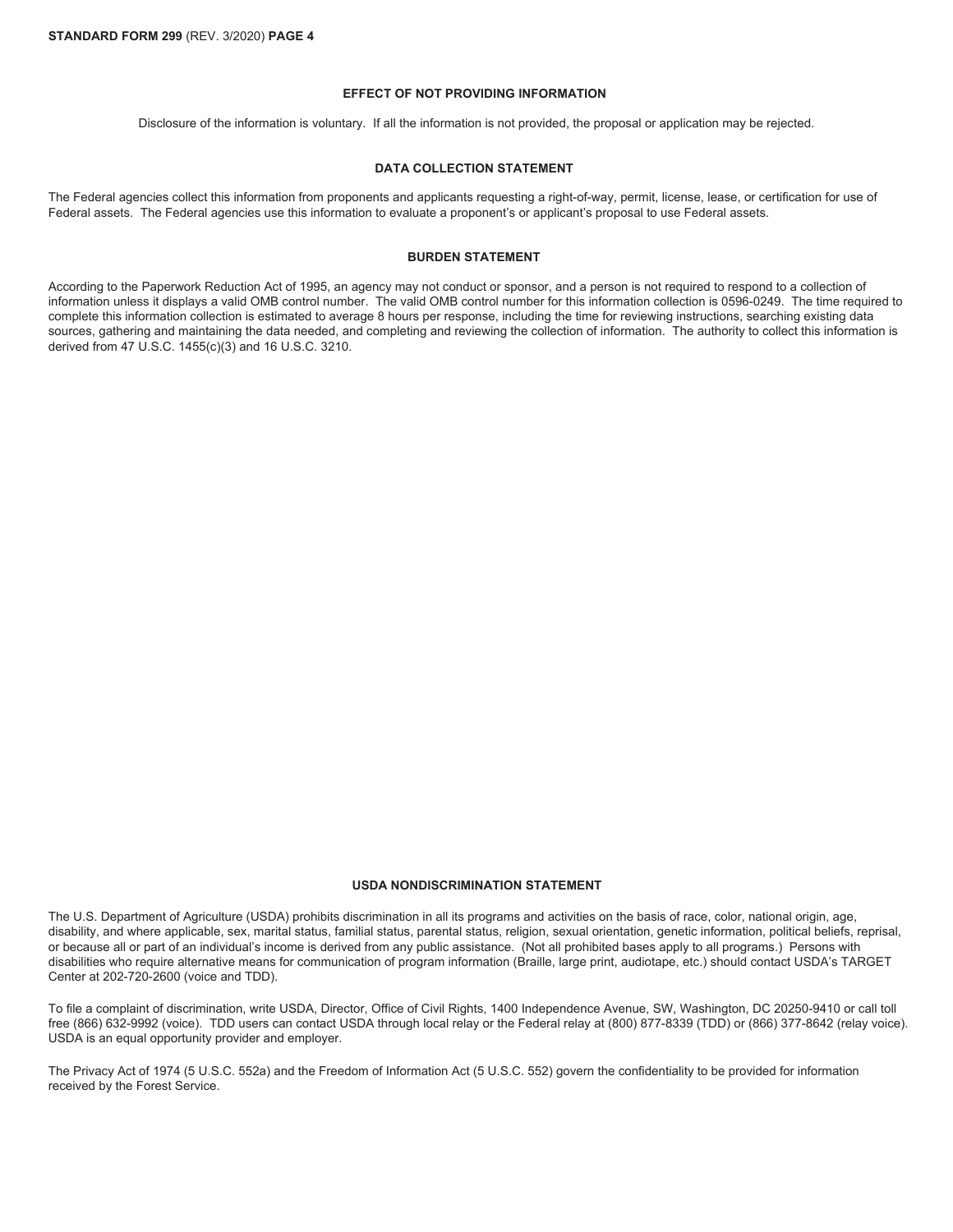## **EFFECT OF NOT PROVIDING INFORMATION**

Disclosure of the information is voluntary. If all the information is not provided, the proposal or application may be rejected.

#### **DATA COLLECTION STATEMENT**

The Federal agencies collect this information from proponents and applicants requesting a right-of-way, permit, license, lease, or certification for use of Federal assets. The Federal agencies use this information to evaluate a proponent's or applicant's proposal to use Federal assets.

### **BURDEN STATEMENT**

According to the Paperwork Reduction Act of 1995, an agency may not conduct or sponsor, and a person is not required to respond to a collection of information unless it displays a valid OMB control number. The valid OMB control number for this information collection is 0596-0249. The time required to complete this information collection is estimated to average 8 hours per response, including the time for reviewing instructions, searching existing data sources, gathering and maintaining the data needed, and completing and reviewing the collection of information. The authority to collect this information is derived from 47 U.S.C. 1455(c)(3) and 16 U.S.C. 3210.

## **USDA NONDISCRIMINATION STATEMENT**

The U.S. Department of Agriculture (USDA) prohibits discrimination in all its programs and activities on the basis of race, color, national origin, age, disability, and where applicable, sex, marital status, familial status, parental status, religion, sexual orientation, genetic information, political beliefs, reprisal, or because all or part of an individual's income is derived from any public assistance. (Not all prohibited bases apply to all programs.) Persons with disabilities who require alternative means for communication of program information (Braille, large print, audiotape, etc.) should contact USDA's TARGET Center at 202-720-2600 (voice and TDD).

To file a complaint of discrimination, write USDA, Director, Office of Civil Rights, 1400 Independence Avenue, SW, Washington, DC 20250-9410 or call toll free (866) 632-9992 (voice). TDD users can contact USDA through local relay or the Federal relay at (800) 877-8339 (TDD) or (866) 377-8642 (relay voice). USDA is an equal opportunity provider and employer.

The Privacy Act of 1974 (5 U.S.C. 552a) and the Freedom of Information Act (5 U.S.C. 552) govern the confidentiality to be provided for information received by the Forest Service.